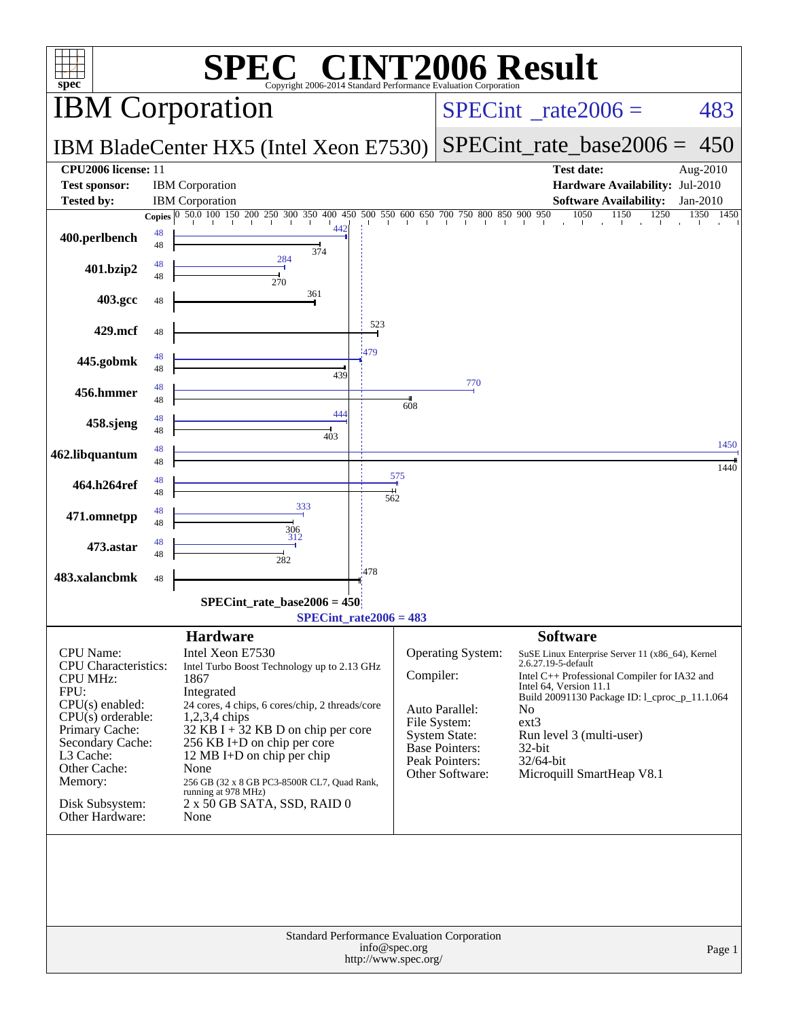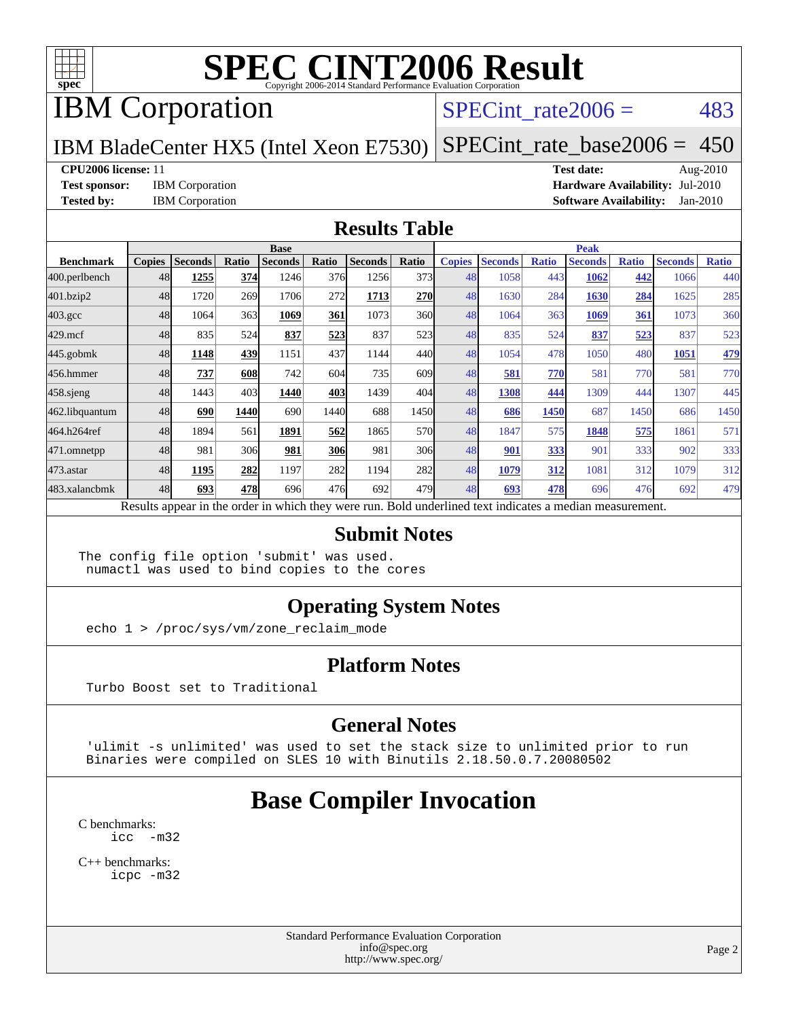

# IBM Corporation

### SPECint rate $2006 = 483$

IBM BladeCenter HX5 (Intel Xeon E7530) [SPECint\\_rate\\_base2006 =](http://www.spec.org/auto/cpu2006/Docs/result-fields.html#SPECintratebase2006) 450

#### **[CPU2006 license:](http://www.spec.org/auto/cpu2006/Docs/result-fields.html#CPU2006license)** 11 **[Test date:](http://www.spec.org/auto/cpu2006/Docs/result-fields.html#Testdate)** Aug-2010

**[Test sponsor:](http://www.spec.org/auto/cpu2006/Docs/result-fields.html#Testsponsor)** IBM Corporation **[Hardware Availability:](http://www.spec.org/auto/cpu2006/Docs/result-fields.html#HardwareAvailability)** Jul-2010 **[Tested by:](http://www.spec.org/auto/cpu2006/Docs/result-fields.html#Testedby)** IBM Corporation **[Software Availability:](http://www.spec.org/auto/cpu2006/Docs/result-fields.html#SoftwareAvailability)** Jan-2010

#### **[Results Table](http://www.spec.org/auto/cpu2006/Docs/result-fields.html#ResultsTable)**

|                  | <b>Base</b>   |                |       |                |            |                                                                                                          |       | <b>Peak</b>   |                |              |                |              |                |              |
|------------------|---------------|----------------|-------|----------------|------------|----------------------------------------------------------------------------------------------------------|-------|---------------|----------------|--------------|----------------|--------------|----------------|--------------|
| <b>Benchmark</b> | <b>Copies</b> | <b>Seconds</b> | Ratio | <b>Seconds</b> | Ratio      | <b>Seconds</b>                                                                                           | Ratio | <b>Copies</b> | <b>Seconds</b> | <b>Ratio</b> | <b>Seconds</b> | <b>Ratio</b> | <b>Seconds</b> | <b>Ratio</b> |
| 400.perlbench    | 48            | 1255           | 374   | 1246           | 376        | 1256                                                                                                     | 373   | 48            | 1058           | 443          | 1062           | 442          | 1066           | 440          |
| 401.bzip2        | 48            | 1720           | 269   | 1706           | 272        | 1713                                                                                                     | 270   | 48            | 1630           | 284          | 1630           | 284          | 1625           | 285          |
| 403.gcc          | 48            | 1064           | 363   | 1069           | 361        | 1073                                                                                                     | 360l  | 48            | 1064           | 363          | 1069           | 361          | 1073           | 360          |
| $429$ .mcf       | 48            | 835            | 524   | 837            | 523        | 837                                                                                                      | 523   | 48            | 835            | 524          | 837            | 523          | 837            | 523          |
| $445$ .gobmk     | 48            | 1148           | 439   | 1151           | 437        | 1144                                                                                                     | 440I  | 48            | 1054           | 478          | 1050           | 480          | 1051           | 479          |
| 456.hmmer        | 48            | 737            | 608   | 742            | 604        | 735                                                                                                      | 609   | 48            | 581            | 770          | 581            | 770          | 581            | 770          |
| $458$ .sjeng     | 48            | 1443           | 403   | 1440           | 403        | 1439                                                                                                     | 404   | 48            | 1308           | 444          | 1309           | 444          | 1307           | 445          |
| 462.libquantum   | 48            | 690            | 1440  | 690            | 1440       | 688                                                                                                      | 1450  | 48            | 686            | 1450         | 687            | 1450         | 686            | 1450         |
| 464.h264ref      | 48            | 1894           | 561   | 1891           | 562        | 1865                                                                                                     | 570   | 48            | 1847           | 575          | 1848           | 575          | 1861           | 571          |
| 471.omnetpp      | 48            | 981            | 306   | 981            | <b>306</b> | 981                                                                                                      | 306   | 48            | 901            | 333          | 901            | 333          | 902            | 333          |
| $473$ . astar    | 48            | 1195           | 282   | 1197           | 282        | 1194                                                                                                     | 282   | 48            | 1079           | 312          | 1081           | 312          | 1079           | 312          |
| 483.xalancbmk    | 48            | 693            | 478   | 696            | 476        | 692                                                                                                      | 479   | 48            | 693            | 478          | 696            | 476          | 692            | 479          |
|                  |               |                |       |                |            | Results appear in the order in which they were run. Bold underlined text indicates a median measurement. |       |               |                |              |                |              |                |              |

#### **[Submit Notes](http://www.spec.org/auto/cpu2006/Docs/result-fields.html#SubmitNotes)**

The config file option 'submit' was used. numactl was used to bind copies to the cores

### **[Operating System Notes](http://www.spec.org/auto/cpu2006/Docs/result-fields.html#OperatingSystemNotes)**

echo 1 > /proc/sys/vm/zone\_reclaim\_mode

### **[Platform Notes](http://www.spec.org/auto/cpu2006/Docs/result-fields.html#PlatformNotes)**

Turbo Boost set to Traditional

#### **[General Notes](http://www.spec.org/auto/cpu2006/Docs/result-fields.html#GeneralNotes)**

 'ulimit -s unlimited' was used to set the stack size to unlimited prior to run Binaries were compiled on SLES 10 with Binutils 2.18.50.0.7.20080502

## **[Base Compiler Invocation](http://www.spec.org/auto/cpu2006/Docs/result-fields.html#BaseCompilerInvocation)**

[C benchmarks](http://www.spec.org/auto/cpu2006/Docs/result-fields.html#Cbenchmarks): [icc -m32](http://www.spec.org/cpu2006/results/res2010q3/cpu2006-20100817-12996.flags.html#user_CCbase_intel_icc_32bit_5ff4a39e364c98233615fdd38438c6f2)

[C++ benchmarks:](http://www.spec.org/auto/cpu2006/Docs/result-fields.html#CXXbenchmarks) [icpc -m32](http://www.spec.org/cpu2006/results/res2010q3/cpu2006-20100817-12996.flags.html#user_CXXbase_intel_icpc_32bit_4e5a5ef1a53fd332b3c49e69c3330699)

> Standard Performance Evaluation Corporation [info@spec.org](mailto:info@spec.org) <http://www.spec.org/>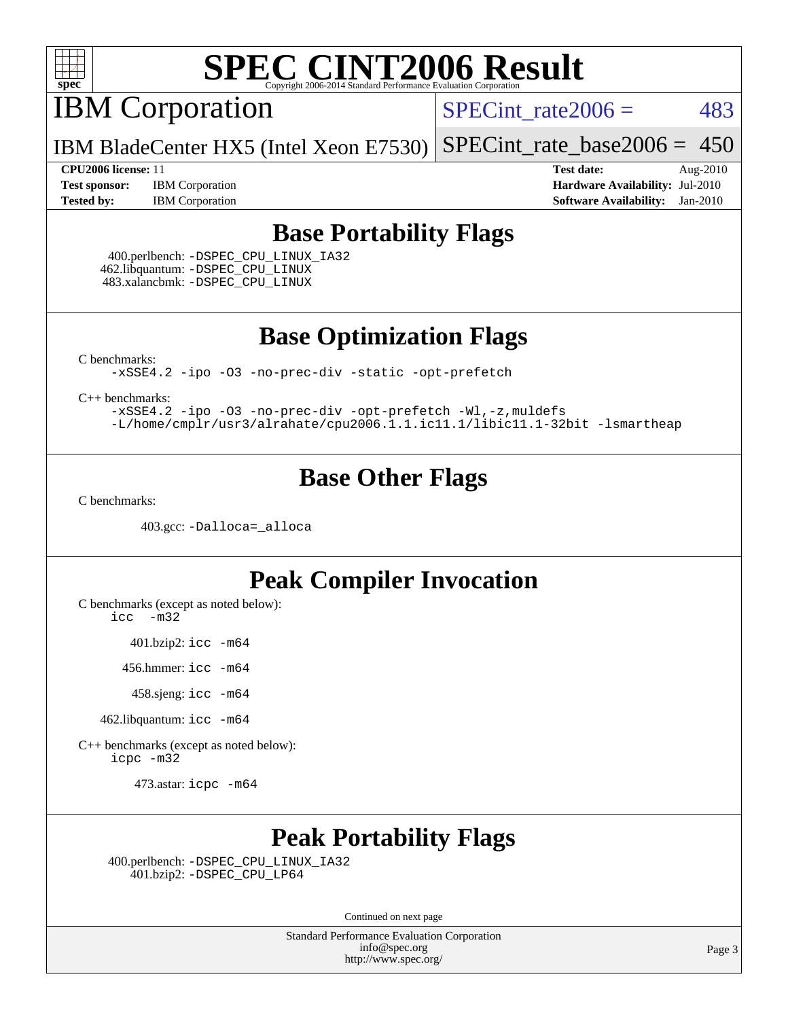

IBM Corporation

SPECint rate $2006 = 483$ 

IBM BladeCenter HX5 (Intel Xeon E7530) [SPECint\\_rate\\_base2006 =](http://www.spec.org/auto/cpu2006/Docs/result-fields.html#SPECintratebase2006) 450

**[Test sponsor:](http://www.spec.org/auto/cpu2006/Docs/result-fields.html#Testsponsor)** IBM Corporation **[Hardware Availability:](http://www.spec.org/auto/cpu2006/Docs/result-fields.html#HardwareAvailability)** Jul-2010 **[Tested by:](http://www.spec.org/auto/cpu2006/Docs/result-fields.html#Testedby)** IBM Corporation **[Software Availability:](http://www.spec.org/auto/cpu2006/Docs/result-fields.html#SoftwareAvailability)** Jan-2010

**[CPU2006 license:](http://www.spec.org/auto/cpu2006/Docs/result-fields.html#CPU2006license)** 11 **[Test date:](http://www.spec.org/auto/cpu2006/Docs/result-fields.html#Testdate)** Aug-2010

## **[Base Portability Flags](http://www.spec.org/auto/cpu2006/Docs/result-fields.html#BasePortabilityFlags)**

 400.perlbench: [-DSPEC\\_CPU\\_LINUX\\_IA32](http://www.spec.org/cpu2006/results/res2010q3/cpu2006-20100817-12996.flags.html#b400.perlbench_baseCPORTABILITY_DSPEC_CPU_LINUX_IA32) 462.libquantum: [-DSPEC\\_CPU\\_LINUX](http://www.spec.org/cpu2006/results/res2010q3/cpu2006-20100817-12996.flags.html#b462.libquantum_baseCPORTABILITY_DSPEC_CPU_LINUX) 483.xalancbmk: [-DSPEC\\_CPU\\_LINUX](http://www.spec.org/cpu2006/results/res2010q3/cpu2006-20100817-12996.flags.html#b483.xalancbmk_baseCXXPORTABILITY_DSPEC_CPU_LINUX)

**[Base Optimization Flags](http://www.spec.org/auto/cpu2006/Docs/result-fields.html#BaseOptimizationFlags)**

[C benchmarks](http://www.spec.org/auto/cpu2006/Docs/result-fields.html#Cbenchmarks):

[-xSSE4.2](http://www.spec.org/cpu2006/results/res2010q3/cpu2006-20100817-12996.flags.html#user_CCbase_f-xSSE42_f91528193cf0b216347adb8b939d4107) [-ipo](http://www.spec.org/cpu2006/results/res2010q3/cpu2006-20100817-12996.flags.html#user_CCbase_f-ipo) [-O3](http://www.spec.org/cpu2006/results/res2010q3/cpu2006-20100817-12996.flags.html#user_CCbase_f-O3) [-no-prec-div](http://www.spec.org/cpu2006/results/res2010q3/cpu2006-20100817-12996.flags.html#user_CCbase_f-no-prec-div) [-static](http://www.spec.org/cpu2006/results/res2010q3/cpu2006-20100817-12996.flags.html#user_CCbase_f-static) [-opt-prefetch](http://www.spec.org/cpu2006/results/res2010q3/cpu2006-20100817-12996.flags.html#user_CCbase_f-opt-prefetch)

[C++ benchmarks:](http://www.spec.org/auto/cpu2006/Docs/result-fields.html#CXXbenchmarks)

[-xSSE4.2](http://www.spec.org/cpu2006/results/res2010q3/cpu2006-20100817-12996.flags.html#user_CXXbase_f-xSSE42_f91528193cf0b216347adb8b939d4107) [-ipo](http://www.spec.org/cpu2006/results/res2010q3/cpu2006-20100817-12996.flags.html#user_CXXbase_f-ipo) [-O3](http://www.spec.org/cpu2006/results/res2010q3/cpu2006-20100817-12996.flags.html#user_CXXbase_f-O3) [-no-prec-div](http://www.spec.org/cpu2006/results/res2010q3/cpu2006-20100817-12996.flags.html#user_CXXbase_f-no-prec-div) [-opt-prefetch](http://www.spec.org/cpu2006/results/res2010q3/cpu2006-20100817-12996.flags.html#user_CXXbase_f-opt-prefetch) [-Wl,-z,muldefs](http://www.spec.org/cpu2006/results/res2010q3/cpu2006-20100817-12996.flags.html#user_CXXbase_link_force_multiple1_74079c344b956b9658436fd1b6dd3a8a) [-L/home/cmplr/usr3/alrahate/cpu2006.1.1.ic11.1/libic11.1-32bit -lsmartheap](http://www.spec.org/cpu2006/results/res2010q3/cpu2006-20100817-12996.flags.html#user_CXXbase_SmartHeap_d86dffe4a79b79ef8890d5cce17030c3)

## **[Base Other Flags](http://www.spec.org/auto/cpu2006/Docs/result-fields.html#BaseOtherFlags)**

[C benchmarks](http://www.spec.org/auto/cpu2006/Docs/result-fields.html#Cbenchmarks):

403.gcc: [-Dalloca=\\_alloca](http://www.spec.org/cpu2006/results/res2010q3/cpu2006-20100817-12996.flags.html#b403.gcc_baseEXTRA_CFLAGS_Dalloca_be3056838c12de2578596ca5467af7f3)

## **[Peak Compiler Invocation](http://www.spec.org/auto/cpu2006/Docs/result-fields.html#PeakCompilerInvocation)**

[C benchmarks \(except as noted below\)](http://www.spec.org/auto/cpu2006/Docs/result-fields.html#Cbenchmarksexceptasnotedbelow):

[icc -m32](http://www.spec.org/cpu2006/results/res2010q3/cpu2006-20100817-12996.flags.html#user_CCpeak_intel_icc_32bit_5ff4a39e364c98233615fdd38438c6f2)

401.bzip2: [icc -m64](http://www.spec.org/cpu2006/results/res2010q3/cpu2006-20100817-12996.flags.html#user_peakCCLD401_bzip2_intel_icc_64bit_bda6cc9af1fdbb0edc3795bac97ada53)

456.hmmer: [icc -m64](http://www.spec.org/cpu2006/results/res2010q3/cpu2006-20100817-12996.flags.html#user_peakCCLD456_hmmer_intel_icc_64bit_bda6cc9af1fdbb0edc3795bac97ada53)

458.sjeng: [icc -m64](http://www.spec.org/cpu2006/results/res2010q3/cpu2006-20100817-12996.flags.html#user_peakCCLD458_sjeng_intel_icc_64bit_bda6cc9af1fdbb0edc3795bac97ada53)

462.libquantum: [icc -m64](http://www.spec.org/cpu2006/results/res2010q3/cpu2006-20100817-12996.flags.html#user_peakCCLD462_libquantum_intel_icc_64bit_bda6cc9af1fdbb0edc3795bac97ada53)

[C++ benchmarks \(except as noted below\):](http://www.spec.org/auto/cpu2006/Docs/result-fields.html#CXXbenchmarksexceptasnotedbelow) [icpc -m32](http://www.spec.org/cpu2006/results/res2010q3/cpu2006-20100817-12996.flags.html#user_CXXpeak_intel_icpc_32bit_4e5a5ef1a53fd332b3c49e69c3330699)

473.astar: [icpc -m64](http://www.spec.org/cpu2006/results/res2010q3/cpu2006-20100817-12996.flags.html#user_peakCXXLD473_astar_intel_icpc_64bit_fc66a5337ce925472a5c54ad6a0de310)

## **[Peak Portability Flags](http://www.spec.org/auto/cpu2006/Docs/result-fields.html#PeakPortabilityFlags)**

 400.perlbench: [-DSPEC\\_CPU\\_LINUX\\_IA32](http://www.spec.org/cpu2006/results/res2010q3/cpu2006-20100817-12996.flags.html#b400.perlbench_peakCPORTABILITY_DSPEC_CPU_LINUX_IA32) 401.bzip2: [-DSPEC\\_CPU\\_LP64](http://www.spec.org/cpu2006/results/res2010q3/cpu2006-20100817-12996.flags.html#suite_peakCPORTABILITY401_bzip2_DSPEC_CPU_LP64)

Continued on next page

Standard Performance Evaluation Corporation [info@spec.org](mailto:info@spec.org) <http://www.spec.org/>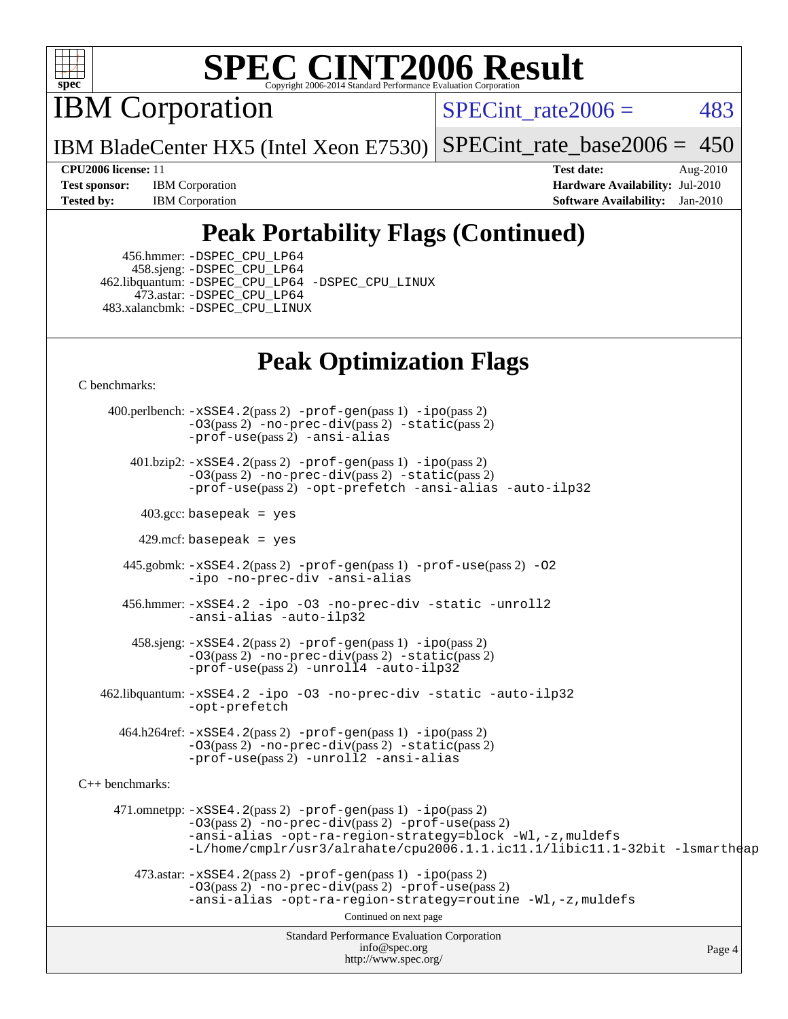

IBM Corporation

SPECint rate $2006 = 483$ 

IBM BladeCenter HX5 (Intel Xeon E7530) [SPECint\\_rate\\_base2006 =](http://www.spec.org/auto/cpu2006/Docs/result-fields.html#SPECintratebase2006)  $450$ 

**[Tested by:](http://www.spec.org/auto/cpu2006/Docs/result-fields.html#Testedby)** IBM Corporation **[Software Availability:](http://www.spec.org/auto/cpu2006/Docs/result-fields.html#SoftwareAvailability)** Jan-2010

**[CPU2006 license:](http://www.spec.org/auto/cpu2006/Docs/result-fields.html#CPU2006license)** 11 **[Test date:](http://www.spec.org/auto/cpu2006/Docs/result-fields.html#Testdate)** Aug-2010 **[Test sponsor:](http://www.spec.org/auto/cpu2006/Docs/result-fields.html#Testsponsor)** IBM Corporation **[Hardware Availability:](http://www.spec.org/auto/cpu2006/Docs/result-fields.html#HardwareAvailability)** Jul-2010

## **[Peak Portability Flags \(Continued\)](http://www.spec.org/auto/cpu2006/Docs/result-fields.html#PeakPortabilityFlags)**

 456.hmmer: [-DSPEC\\_CPU\\_LP64](http://www.spec.org/cpu2006/results/res2010q3/cpu2006-20100817-12996.flags.html#suite_peakCPORTABILITY456_hmmer_DSPEC_CPU_LP64) 458.sjeng: [-DSPEC\\_CPU\\_LP64](http://www.spec.org/cpu2006/results/res2010q3/cpu2006-20100817-12996.flags.html#suite_peakCPORTABILITY458_sjeng_DSPEC_CPU_LP64) 462.libquantum: [-DSPEC\\_CPU\\_LP64](http://www.spec.org/cpu2006/results/res2010q3/cpu2006-20100817-12996.flags.html#suite_peakCPORTABILITY462_libquantum_DSPEC_CPU_LP64) [-DSPEC\\_CPU\\_LINUX](http://www.spec.org/cpu2006/results/res2010q3/cpu2006-20100817-12996.flags.html#b462.libquantum_peakCPORTABILITY_DSPEC_CPU_LINUX) 473.astar: [-DSPEC\\_CPU\\_LP64](http://www.spec.org/cpu2006/results/res2010q3/cpu2006-20100817-12996.flags.html#suite_peakCXXPORTABILITY473_astar_DSPEC_CPU_LP64) 483.xalancbmk: [-DSPEC\\_CPU\\_LINUX](http://www.spec.org/cpu2006/results/res2010q3/cpu2006-20100817-12996.flags.html#b483.xalancbmk_peakCXXPORTABILITY_DSPEC_CPU_LINUX)

## **[Peak Optimization Flags](http://www.spec.org/auto/cpu2006/Docs/result-fields.html#PeakOptimizationFlags)**

[C benchmarks](http://www.spec.org/auto/cpu2006/Docs/result-fields.html#Cbenchmarks):

Standard Performance Evaluation Corporation [info@spec.org](mailto:info@spec.org) <http://www.spec.org/> Page 4 400.perlbench: [-xSSE4.2](http://www.spec.org/cpu2006/results/res2010q3/cpu2006-20100817-12996.flags.html#user_peakPASS2_CFLAGSPASS2_LDCFLAGS400_perlbench_f-xSSE42_f91528193cf0b216347adb8b939d4107)(pass 2) [-prof-gen](http://www.spec.org/cpu2006/results/res2010q3/cpu2006-20100817-12996.flags.html#user_peakPASS1_CFLAGSPASS1_LDCFLAGS400_perlbench_prof_gen_e43856698f6ca7b7e442dfd80e94a8fc)(pass 1) [-ipo](http://www.spec.org/cpu2006/results/res2010q3/cpu2006-20100817-12996.flags.html#user_peakPASS2_CFLAGSPASS2_LDCFLAGS400_perlbench_f-ipo)(pass 2) [-O3](http://www.spec.org/cpu2006/results/res2010q3/cpu2006-20100817-12996.flags.html#user_peakPASS2_CFLAGSPASS2_LDCFLAGS400_perlbench_f-O3)(pass 2) [-no-prec-div](http://www.spec.org/cpu2006/results/res2010q3/cpu2006-20100817-12996.flags.html#user_peakPASS2_CFLAGSPASS2_LDCFLAGS400_perlbench_f-no-prec-div)(pass 2) [-static](http://www.spec.org/cpu2006/results/res2010q3/cpu2006-20100817-12996.flags.html#user_peakPASS2_CFLAGSPASS2_LDCFLAGS400_perlbench_f-static)(pass 2) [-prof-use](http://www.spec.org/cpu2006/results/res2010q3/cpu2006-20100817-12996.flags.html#user_peakPASS2_CFLAGSPASS2_LDCFLAGS400_perlbench_prof_use_bccf7792157ff70d64e32fe3e1250b55)(pass 2) [-ansi-alias](http://www.spec.org/cpu2006/results/res2010q3/cpu2006-20100817-12996.flags.html#user_peakCOPTIMIZE400_perlbench_f-ansi-alias) 401.bzip2: [-xSSE4.2](http://www.spec.org/cpu2006/results/res2010q3/cpu2006-20100817-12996.flags.html#user_peakPASS2_CFLAGSPASS2_LDCFLAGS401_bzip2_f-xSSE42_f91528193cf0b216347adb8b939d4107)(pass 2) [-prof-gen](http://www.spec.org/cpu2006/results/res2010q3/cpu2006-20100817-12996.flags.html#user_peakPASS1_CFLAGSPASS1_LDCFLAGS401_bzip2_prof_gen_e43856698f6ca7b7e442dfd80e94a8fc)(pass 1) [-ipo](http://www.spec.org/cpu2006/results/res2010q3/cpu2006-20100817-12996.flags.html#user_peakPASS2_CFLAGSPASS2_LDCFLAGS401_bzip2_f-ipo)(pass 2) [-O3](http://www.spec.org/cpu2006/results/res2010q3/cpu2006-20100817-12996.flags.html#user_peakPASS2_CFLAGSPASS2_LDCFLAGS401_bzip2_f-O3)(pass 2) [-no-prec-div](http://www.spec.org/cpu2006/results/res2010q3/cpu2006-20100817-12996.flags.html#user_peakPASS2_CFLAGSPASS2_LDCFLAGS401_bzip2_f-no-prec-div)(pass 2) [-static](http://www.spec.org/cpu2006/results/res2010q3/cpu2006-20100817-12996.flags.html#user_peakPASS2_CFLAGSPASS2_LDCFLAGS401_bzip2_f-static)(pass 2) [-prof-use](http://www.spec.org/cpu2006/results/res2010q3/cpu2006-20100817-12996.flags.html#user_peakPASS2_CFLAGSPASS2_LDCFLAGS401_bzip2_prof_use_bccf7792157ff70d64e32fe3e1250b55)(pass 2) [-opt-prefetch](http://www.spec.org/cpu2006/results/res2010q3/cpu2006-20100817-12996.flags.html#user_peakCOPTIMIZE401_bzip2_f-opt-prefetch) [-ansi-alias](http://www.spec.org/cpu2006/results/res2010q3/cpu2006-20100817-12996.flags.html#user_peakCOPTIMIZE401_bzip2_f-ansi-alias) [-auto-ilp32](http://www.spec.org/cpu2006/results/res2010q3/cpu2006-20100817-12996.flags.html#user_peakCOPTIMIZE401_bzip2_f-auto-ilp32) 403.gcc: basepeak = yes  $429$ .mcf: basepeak = yes 445.gobmk: [-xSSE4.2](http://www.spec.org/cpu2006/results/res2010q3/cpu2006-20100817-12996.flags.html#user_peakPASS2_CFLAGSPASS2_LDCFLAGS445_gobmk_f-xSSE42_f91528193cf0b216347adb8b939d4107)(pass 2) [-prof-gen](http://www.spec.org/cpu2006/results/res2010q3/cpu2006-20100817-12996.flags.html#user_peakPASS1_CFLAGSPASS1_LDCFLAGS445_gobmk_prof_gen_e43856698f6ca7b7e442dfd80e94a8fc)(pass 1) [-prof-use](http://www.spec.org/cpu2006/results/res2010q3/cpu2006-20100817-12996.flags.html#user_peakPASS2_CFLAGSPASS2_LDCFLAGS445_gobmk_prof_use_bccf7792157ff70d64e32fe3e1250b55)(pass 2) [-O2](http://www.spec.org/cpu2006/results/res2010q3/cpu2006-20100817-12996.flags.html#user_peakCOPTIMIZE445_gobmk_f-O2) [-ipo](http://www.spec.org/cpu2006/results/res2010q3/cpu2006-20100817-12996.flags.html#user_peakCOPTIMIZE445_gobmk_f-ipo) [-no-prec-div](http://www.spec.org/cpu2006/results/res2010q3/cpu2006-20100817-12996.flags.html#user_peakCOPTIMIZE445_gobmk_f-no-prec-div) [-ansi-alias](http://www.spec.org/cpu2006/results/res2010q3/cpu2006-20100817-12996.flags.html#user_peakCOPTIMIZE445_gobmk_f-ansi-alias) 456.hmmer: [-xSSE4.2](http://www.spec.org/cpu2006/results/res2010q3/cpu2006-20100817-12996.flags.html#user_peakCOPTIMIZE456_hmmer_f-xSSE42_f91528193cf0b216347adb8b939d4107) [-ipo](http://www.spec.org/cpu2006/results/res2010q3/cpu2006-20100817-12996.flags.html#user_peakCOPTIMIZE456_hmmer_f-ipo) [-O3](http://www.spec.org/cpu2006/results/res2010q3/cpu2006-20100817-12996.flags.html#user_peakCOPTIMIZE456_hmmer_f-O3) [-no-prec-div](http://www.spec.org/cpu2006/results/res2010q3/cpu2006-20100817-12996.flags.html#user_peakCOPTIMIZE456_hmmer_f-no-prec-div) [-static](http://www.spec.org/cpu2006/results/res2010q3/cpu2006-20100817-12996.flags.html#user_peakCOPTIMIZE456_hmmer_f-static) [-unroll2](http://www.spec.org/cpu2006/results/res2010q3/cpu2006-20100817-12996.flags.html#user_peakCOPTIMIZE456_hmmer_f-unroll_784dae83bebfb236979b41d2422d7ec2) [-ansi-alias](http://www.spec.org/cpu2006/results/res2010q3/cpu2006-20100817-12996.flags.html#user_peakCOPTIMIZE456_hmmer_f-ansi-alias) [-auto-ilp32](http://www.spec.org/cpu2006/results/res2010q3/cpu2006-20100817-12996.flags.html#user_peakCOPTIMIZE456_hmmer_f-auto-ilp32) 458.sjeng: [-xSSE4.2](http://www.spec.org/cpu2006/results/res2010q3/cpu2006-20100817-12996.flags.html#user_peakPASS2_CFLAGSPASS2_LDCFLAGS458_sjeng_f-xSSE42_f91528193cf0b216347adb8b939d4107)(pass 2) [-prof-gen](http://www.spec.org/cpu2006/results/res2010q3/cpu2006-20100817-12996.flags.html#user_peakPASS1_CFLAGSPASS1_LDCFLAGS458_sjeng_prof_gen_e43856698f6ca7b7e442dfd80e94a8fc)(pass 1) [-ipo](http://www.spec.org/cpu2006/results/res2010q3/cpu2006-20100817-12996.flags.html#user_peakPASS2_CFLAGSPASS2_LDCFLAGS458_sjeng_f-ipo)(pass 2) [-O3](http://www.spec.org/cpu2006/results/res2010q3/cpu2006-20100817-12996.flags.html#user_peakPASS2_CFLAGSPASS2_LDCFLAGS458_sjeng_f-O3)(pass 2) [-no-prec-div](http://www.spec.org/cpu2006/results/res2010q3/cpu2006-20100817-12996.flags.html#user_peakPASS2_CFLAGSPASS2_LDCFLAGS458_sjeng_f-no-prec-div)(pass 2) [-static](http://www.spec.org/cpu2006/results/res2010q3/cpu2006-20100817-12996.flags.html#user_peakPASS2_CFLAGSPASS2_LDCFLAGS458_sjeng_f-static)(pass 2) [-prof-use](http://www.spec.org/cpu2006/results/res2010q3/cpu2006-20100817-12996.flags.html#user_peakPASS2_CFLAGSPASS2_LDCFLAGS458_sjeng_prof_use_bccf7792157ff70d64e32fe3e1250b55)(pass 2) [-unroll4](http://www.spec.org/cpu2006/results/res2010q3/cpu2006-20100817-12996.flags.html#user_peakCOPTIMIZE458_sjeng_f-unroll_4e5e4ed65b7fd20bdcd365bec371b81f) [-auto-ilp32](http://www.spec.org/cpu2006/results/res2010q3/cpu2006-20100817-12996.flags.html#user_peakCOPTIMIZE458_sjeng_f-auto-ilp32) 462.libquantum: [-xSSE4.2](http://www.spec.org/cpu2006/results/res2010q3/cpu2006-20100817-12996.flags.html#user_peakCOPTIMIZE462_libquantum_f-xSSE42_f91528193cf0b216347adb8b939d4107) [-ipo](http://www.spec.org/cpu2006/results/res2010q3/cpu2006-20100817-12996.flags.html#user_peakCOPTIMIZE462_libquantum_f-ipo) [-O3](http://www.spec.org/cpu2006/results/res2010q3/cpu2006-20100817-12996.flags.html#user_peakCOPTIMIZE462_libquantum_f-O3) [-no-prec-div](http://www.spec.org/cpu2006/results/res2010q3/cpu2006-20100817-12996.flags.html#user_peakCOPTIMIZE462_libquantum_f-no-prec-div) [-static](http://www.spec.org/cpu2006/results/res2010q3/cpu2006-20100817-12996.flags.html#user_peakCOPTIMIZE462_libquantum_f-static) [-auto-ilp32](http://www.spec.org/cpu2006/results/res2010q3/cpu2006-20100817-12996.flags.html#user_peakCOPTIMIZE462_libquantum_f-auto-ilp32) [-opt-prefetch](http://www.spec.org/cpu2006/results/res2010q3/cpu2006-20100817-12996.flags.html#user_peakCOPTIMIZE462_libquantum_f-opt-prefetch) 464.h264ref: [-xSSE4.2](http://www.spec.org/cpu2006/results/res2010q3/cpu2006-20100817-12996.flags.html#user_peakPASS2_CFLAGSPASS2_LDCFLAGS464_h264ref_f-xSSE42_f91528193cf0b216347adb8b939d4107)(pass 2) [-prof-gen](http://www.spec.org/cpu2006/results/res2010q3/cpu2006-20100817-12996.flags.html#user_peakPASS1_CFLAGSPASS1_LDCFLAGS464_h264ref_prof_gen_e43856698f6ca7b7e442dfd80e94a8fc)(pass 1) [-ipo](http://www.spec.org/cpu2006/results/res2010q3/cpu2006-20100817-12996.flags.html#user_peakPASS2_CFLAGSPASS2_LDCFLAGS464_h264ref_f-ipo)(pass 2) [-O3](http://www.spec.org/cpu2006/results/res2010q3/cpu2006-20100817-12996.flags.html#user_peakPASS2_CFLAGSPASS2_LDCFLAGS464_h264ref_f-O3)(pass 2) [-no-prec-div](http://www.spec.org/cpu2006/results/res2010q3/cpu2006-20100817-12996.flags.html#user_peakPASS2_CFLAGSPASS2_LDCFLAGS464_h264ref_f-no-prec-div)(pass 2) [-static](http://www.spec.org/cpu2006/results/res2010q3/cpu2006-20100817-12996.flags.html#user_peakPASS2_CFLAGSPASS2_LDCFLAGS464_h264ref_f-static)(pass 2) [-prof-use](http://www.spec.org/cpu2006/results/res2010q3/cpu2006-20100817-12996.flags.html#user_peakPASS2_CFLAGSPASS2_LDCFLAGS464_h264ref_prof_use_bccf7792157ff70d64e32fe3e1250b55)(pass 2) [-unroll2](http://www.spec.org/cpu2006/results/res2010q3/cpu2006-20100817-12996.flags.html#user_peakCOPTIMIZE464_h264ref_f-unroll_784dae83bebfb236979b41d2422d7ec2) [-ansi-alias](http://www.spec.org/cpu2006/results/res2010q3/cpu2006-20100817-12996.flags.html#user_peakCOPTIMIZE464_h264ref_f-ansi-alias) [C++ benchmarks:](http://www.spec.org/auto/cpu2006/Docs/result-fields.html#CXXbenchmarks) 471.omnetpp: [-xSSE4.2](http://www.spec.org/cpu2006/results/res2010q3/cpu2006-20100817-12996.flags.html#user_peakPASS2_CXXFLAGSPASS2_LDCXXFLAGS471_omnetpp_f-xSSE42_f91528193cf0b216347adb8b939d4107)(pass 2) [-prof-gen](http://www.spec.org/cpu2006/results/res2010q3/cpu2006-20100817-12996.flags.html#user_peakPASS1_CXXFLAGSPASS1_LDCXXFLAGS471_omnetpp_prof_gen_e43856698f6ca7b7e442dfd80e94a8fc)(pass 1) [-ipo](http://www.spec.org/cpu2006/results/res2010q3/cpu2006-20100817-12996.flags.html#user_peakPASS2_CXXFLAGSPASS2_LDCXXFLAGS471_omnetpp_f-ipo)(pass 2) [-O3](http://www.spec.org/cpu2006/results/res2010q3/cpu2006-20100817-12996.flags.html#user_peakPASS2_CXXFLAGSPASS2_LDCXXFLAGS471_omnetpp_f-O3)(pass 2) [-no-prec-div](http://www.spec.org/cpu2006/results/res2010q3/cpu2006-20100817-12996.flags.html#user_peakPASS2_CXXFLAGSPASS2_LDCXXFLAGS471_omnetpp_f-no-prec-div)(pass 2) [-prof-use](http://www.spec.org/cpu2006/results/res2010q3/cpu2006-20100817-12996.flags.html#user_peakPASS2_CXXFLAGSPASS2_LDCXXFLAGS471_omnetpp_prof_use_bccf7792157ff70d64e32fe3e1250b55)(pass 2) [-ansi-alias](http://www.spec.org/cpu2006/results/res2010q3/cpu2006-20100817-12996.flags.html#user_peakCXXOPTIMIZE471_omnetpp_f-ansi-alias) [-opt-ra-region-strategy=block](http://www.spec.org/cpu2006/results/res2010q3/cpu2006-20100817-12996.flags.html#user_peakCXXOPTIMIZE471_omnetpp_f-opt-ra-region-strategy-block_a0a37c372d03933b2a18d4af463c1f69) [-Wl,-z,muldefs](http://www.spec.org/cpu2006/results/res2010q3/cpu2006-20100817-12996.flags.html#user_peakEXTRA_LDFLAGS471_omnetpp_link_force_multiple1_74079c344b956b9658436fd1b6dd3a8a) [-L/home/cmplr/usr3/alrahate/cpu2006.1.1.ic11.1/libic11.1-32bit -lsmartheap](http://www.spec.org/cpu2006/results/res2010q3/cpu2006-20100817-12996.flags.html#user_peakEXTRA_LIBS471_omnetpp_SmartHeap_d86dffe4a79b79ef8890d5cce17030c3)  $473.\text{astar: } -xSSE4$ .  $2(\text{pass 2})$   $-\text{prof-gen}(\text{pass 1})$   $-i\text{po}(\text{pass 2})$ [-O3](http://www.spec.org/cpu2006/results/res2010q3/cpu2006-20100817-12996.flags.html#user_peakPASS2_CXXFLAGSPASS2_LDCXXFLAGS473_astar_f-O3)(pass 2) [-no-prec-div](http://www.spec.org/cpu2006/results/res2010q3/cpu2006-20100817-12996.flags.html#user_peakPASS2_CXXFLAGSPASS2_LDCXXFLAGS473_astar_f-no-prec-div)(pass 2) [-prof-use](http://www.spec.org/cpu2006/results/res2010q3/cpu2006-20100817-12996.flags.html#user_peakPASS2_CXXFLAGSPASS2_LDCXXFLAGS473_astar_prof_use_bccf7792157ff70d64e32fe3e1250b55)(pass 2) [-ansi-alias](http://www.spec.org/cpu2006/results/res2010q3/cpu2006-20100817-12996.flags.html#user_peakCXXOPTIMIZE473_astar_f-ansi-alias) [-opt-ra-region-strategy=routine](http://www.spec.org/cpu2006/results/res2010q3/cpu2006-20100817-12996.flags.html#user_peakCXXOPTIMIZE473_astar_f-opt-ra-region-strategy-routine_ba086ea3b1d46a52e1238e2ca173ed44) [-Wl,-z,muldefs](http://www.spec.org/cpu2006/results/res2010q3/cpu2006-20100817-12996.flags.html#user_peakEXTRA_LDFLAGS473_astar_link_force_multiple1_74079c344b956b9658436fd1b6dd3a8a) Continued on next page